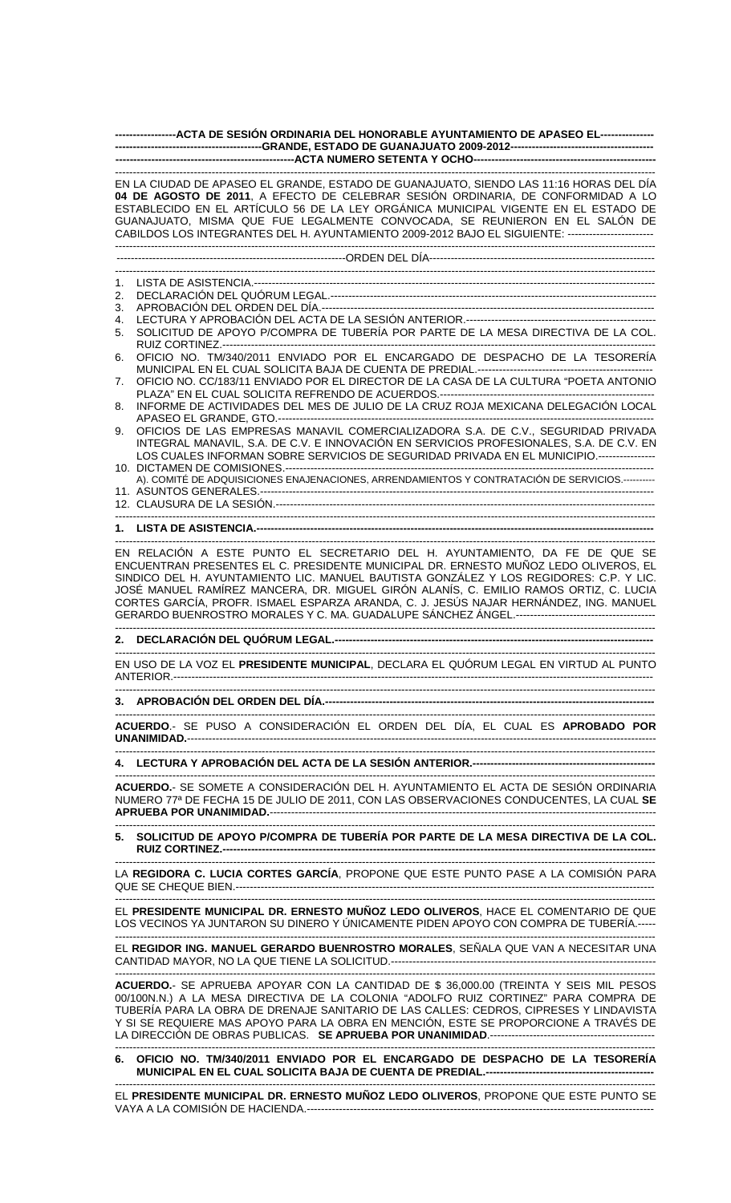| -----------------ACTA DE SESIÓN ORDINARIA DEL HONORABLE AYUNTAMIENTO DE APASEO EL---------------                                                                                                                                                                                                                                                                                                                                                       |  |  |
|--------------------------------------------------------------------------------------------------------------------------------------------------------------------------------------------------------------------------------------------------------------------------------------------------------------------------------------------------------------------------------------------------------------------------------------------------------|--|--|
|                                                                                                                                                                                                                                                                                                                                                                                                                                                        |  |  |
| EN LA CIUDAD DE APASEO EL GRANDE, ESTADO DE GUANAJUATO, SIENDO LAS 11:16 HORAS DEL DÍA<br>04 DE AGOSTO DE 2011, A EFECTO DE CELEBRAR SESIÓN ORDINARIA, DE CONFORMIDAD A LO<br>ESTABLECIDO EN EL ARTÍCULO 56 DE LA LEY ORGÁNICA MUNICIPAL VIGENTE EN EL ESTADO DE<br>GUANAJUATO, MISMA QUE FUE LEGALMENTE CONVOCADA, SE REUNIERON EN EL SALÓN DE<br>CABILDOS LOS INTEGRANTES DEL H. AYUNTAMIENTO 2009-2012 BAJO EL SIGUIENTE: ------------------------- |  |  |
|                                                                                                                                                                                                                                                                                                                                                                                                                                                        |  |  |
| 1.                                                                                                                                                                                                                                                                                                                                                                                                                                                     |  |  |
| 2.                                                                                                                                                                                                                                                                                                                                                                                                                                                     |  |  |
| 3.<br>4.                                                                                                                                                                                                                                                                                                                                                                                                                                               |  |  |
| SOLICITUD DE APOYO P/COMPRA DE TUBERÍA POR PARTE DE LA MESA DIRECTIVA DE LA COL.<br>5.                                                                                                                                                                                                                                                                                                                                                                 |  |  |
| OFICIO NO. TM/340/2011 ENVIADO POR EL ENCARGADO DE DESPACHO DE LA TESORERÍA<br>6.                                                                                                                                                                                                                                                                                                                                                                      |  |  |
| OFICIO NO. CC/183/11 ENVIADO POR EL DIRECTOR DE LA CASA DE LA CULTURA "POETA ANTONIO<br>7.                                                                                                                                                                                                                                                                                                                                                             |  |  |
| INFORME DE ACTIVIDADES DEL MES DE JULIO DE LA CRUZ ROJA MEXICANA DELEGACIÓN LOCAL<br>8.                                                                                                                                                                                                                                                                                                                                                                |  |  |
| OFICIOS DE LAS EMPRESAS MANAVIL COMERCIALIZADORA S.A. DE C.V., SEGURIDAD PRIVADA<br>9.<br>INTEGRAL MANAVIL, S.A. DE C.V. E INNOVACIÓN EN SERVICIOS PROFESIONALES, S.A. DE C.V. EN<br>LOS CUALES INFORMAN SOBRE SERVICIOS DE SEGURIDAD PRIVADA EN EL MUNICIPIO.---------------                                                                                                                                                                          |  |  |
| A). COMITÉ DE ADQUISICIONES ENAJENACIONES, ARRENDAMIENTOS Y CONTRATACIÓN DE SERVICIOS.---------                                                                                                                                                                                                                                                                                                                                                        |  |  |
|                                                                                                                                                                                                                                                                                                                                                                                                                                                        |  |  |
|                                                                                                                                                                                                                                                                                                                                                                                                                                                        |  |  |
| EN RELACIÓN A ESTE PUNTO EL SECRETARIO DEL H. AYUNTAMIENTO, DA FE DE QUE SE<br>ENCUENTRAN PRESENTES EL C. PRESIDENTE MUNICIPAL DR. ERNESTO MUÑOZ LEDO OLIVEROS, EL<br>SINDICO DEL H. AYUNTAMIENTO LIC. MANUEL BAUTISTA GONZÁLEZ Y LOS REGIDORES: C.P. Y LIC.<br>JOSÉ MANUEL RAMÍREZ MANCERA, DR. MIGUEL GIRÓN ALANÍS, C. EMILIO RAMOS ORTIZ, C. LUCIA<br>CORTES GARCÍA, PROFR. ISMAEL ESPARZA ARANDA, C. J. JESÚS NAJAR HERNÁNDEZ, ING. MANUEL         |  |  |
| 2.                                                                                                                                                                                                                                                                                                                                                                                                                                                     |  |  |
| EN USO DE LA VOZ EL PRESIDENTE MUNICIPAL, DECLARA EL QUÓRUM LEGAL EN VIRTUD AL PUNTO                                                                                                                                                                                                                                                                                                                                                                   |  |  |
|                                                                                                                                                                                                                                                                                                                                                                                                                                                        |  |  |
| ACUERDO.- SE PUSO A CONSIDERACIÓN EL ORDEN DEL DÍA, EL CUAL ES APROBADO POR                                                                                                                                                                                                                                                                                                                                                                            |  |  |
|                                                                                                                                                                                                                                                                                                                                                                                                                                                        |  |  |
| ACUERDO.- SE SOMETE A CONSIDERACIÓN DEL H. AYUNTAMIENTO EL ACTA DE SESIÓN ORDINARIA<br>NUMERO 77ª DE FECHA 15 DE JULIO DE 2011, CON LAS OBSERVACIONES CONDUCENTES, LA CUAL SE                                                                                                                                                                                                                                                                          |  |  |
| 5. SOLICITUD DE APOYO P/COMPRA DE TUBERÍA POR PARTE DE LA MESA DIRECTIVA DE LA COL.                                                                                                                                                                                                                                                                                                                                                                    |  |  |
| LA REGIDORA C. LUCIA CORTES GARCÍA, PROPONE QUE ESTE PUNTO PASE A LA COMISIÓN PARA                                                                                                                                                                                                                                                                                                                                                                     |  |  |
| EL PRESIDENTE MUNICIPAL DR. ERNESTO MUÑOZ LEDO OLIVEROS, HACE EL COMENTARIO DE QUE<br>LOS VECINOS YA JUNTARON SU DINERO Y ÚNICAMENTE PIDEN APOYO CON COMPRA DE TUBERÍA.-----                                                                                                                                                                                                                                                                           |  |  |
| EL REGIDOR ING. MANUEL GERARDO BUENROSTRO MORALES, SEÑALA QUE VAN A NECESITAR UNA                                                                                                                                                                                                                                                                                                                                                                      |  |  |
| ACUERDO.- SE APRUEBA APOYAR CON LA CANTIDAD DE \$ 36,000.00 (TREINTA Y SEIS MIL PESOS<br>00/100N.N.) A LA MESA DIRECTIVA DE LA COLONIA "ADOLFO RUIZ CORTINEZ" PARA COMPRA DE<br>TUBERÍA PARA LA OBRA DE DRENAJE SANITARIO DE LAS CALLES: CEDROS, CIPRESES Y LINDAVISTA<br>Y SI SE REQUIERE MAS APOYO PARA LA OBRA EN MENCIÓN, ESTE SE PROPORCIONE A TRAVÉS DE                                                                                          |  |  |
| 6. OFICIO NO. TM/340/2011 ENVIADO POR EL ENCARGADO DE DESPACHO DE LA TESORERÍA                                                                                                                                                                                                                                                                                                                                                                         |  |  |
|                                                                                                                                                                                                                                                                                                                                                                                                                                                        |  |  |

EL **PRESIDENTE MUNICIPAL DR. ERNESTO MUÑOZ LEDO OLIVEROS**, PROPONE QUE ESTE PUNTO SE VAYA A LA COMISIÓN DE HACIENDA.-------------------------------------------------------------------------------------------------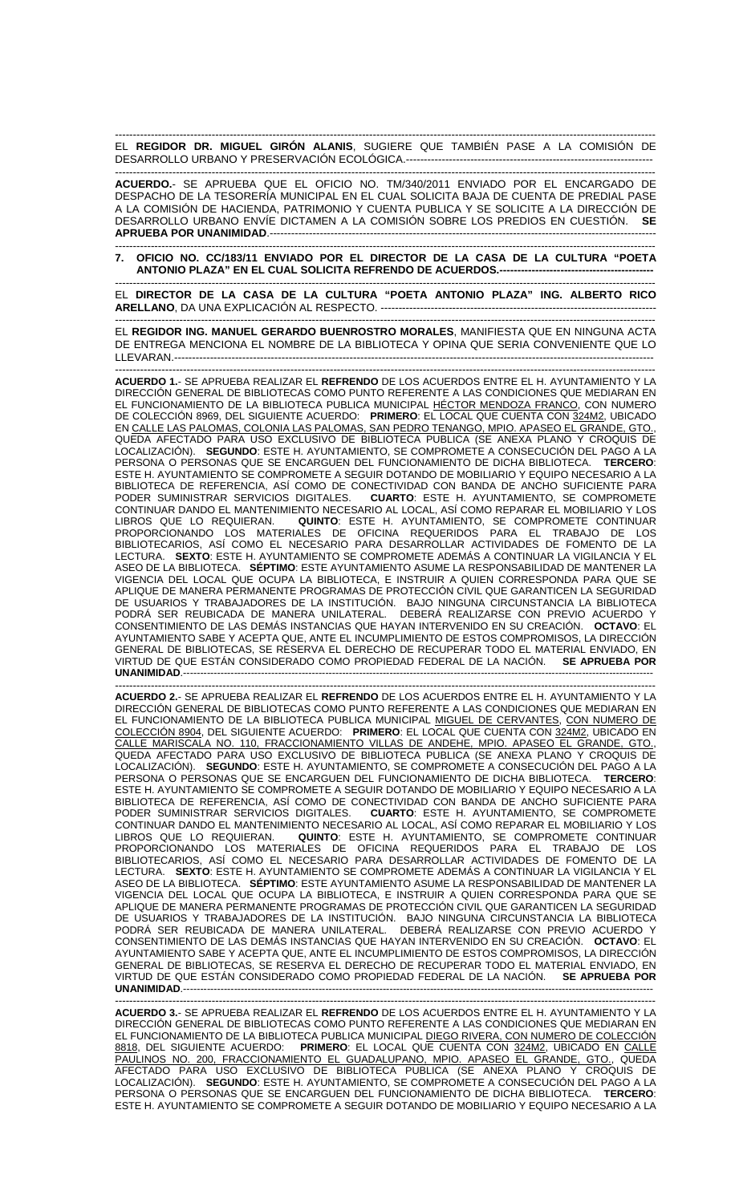------------------------------------------------------------------------------------------------------------------------------------------------------- EL **REGIDOR DR. MIGUEL GIRÓN ALANIS**, SUGIERE QUE TAMBIÉN PASE A LA COMISIÓN DE DESARROLLO URBANO Y PRESERVACIÓN ECOLÓGICA.---------------------------------------------------------------------

------------------------------------------------------------------------------------------------------------------------------------------------------- **ACUERDO.**- SE APRUEBA QUE EL OFICIO NO. TM/340/2011 ENVIADO POR EL ENCARGADO DE DESPACHO DE LA TESORERÍA MUNICIPAL EN EL CUAL SOLICITA BAJA DE CUENTA DE PREDIAL PASE A LA COMISIÓN DE HACIENDA, PATRIMONIO Y CUENTA PUBLICA Y SE SOLICITE A LA DIRECCIÓN DE DESARROLLO URBANO ENVÍE DICTAMEN A LA COMISIÓN SOBRE LOS PREDIOS EN CUESTIÓN. **SE APRUEBA POR UNANIMIDAD.--**

------------------------------------------------------------------------------------------------------------------------------------------------------- **7. OFICIO NO. CC/183/11 ENVIADO POR EL DIRECTOR DE LA CASA DE LA CULTURA "POETA ANTONIO PLAZA" EN EL CUAL SOLICITA REFRENDO DE ACUERDOS.-------------------------------------------** 

------------------------------------------------------------------------------------------------------------------------------------------------------- EL **DIRECTOR DE LA CASA DE LA CULTURA "POETA ANTONIO PLAZA" ING. ALBERTO RICO ARELLANO, DA UNA EXPLICACIÓN AL RESPECTO. ------**

------------------------------------------------------------------------------------------------------------------------------------------------------- EL **REGIDOR ING. MANUEL GERARDO BUENROSTRO MORALES**, MANIFIESTA QUE EN NINGUNA ACTA DE ENTREGA MENCIONA EL NOMBRE DE LA BIBLIOTECA Y OPINA QUE SERIA CONVENIENTE QUE LO LLEVARAN.----

------------------------------------------------------------------------------------------------------------------------------------------------------- **ACUERDO 1.**- SE APRUEBA REALIZAR EL **REFRENDO** DE LOS ACUERDOS ENTRE EL H. AYUNTAMIENTO Y LA DIRECCIÓN GENERAL DE BIBLIOTECAS COMO PUNTO REFERENTE A LAS CONDICIONES QUE MEDIARAN EN EL FUNCIONAMIENTO DE LA BIBLIOTECA PUBLICA MUNICIPAL HÉCTOR MENDOZA FRANCO, CON NUMERO DE COLECCIÓN 8969, DEL SIGUIENTE ACUERDO: **PRIMERO**: EL LOCAL QUE CUENTA CON 324M2, UBICADO EN CALLE LAS PALOMAS, COLONIA LAS PALOMAS, SAN PEDRO TENANGO, MPIO. APASEO EL GRANDE, GTO., QUEDA AFECTADO PARA USO EXCLUSIVO DE BIBLIOTECA PUBLICA (SE ANEXA PLANO Y CROQUIS DE LOCALIZACIÓN). **SEGUNDO**: ESTE H. AYUNTAMIENTO, SE COMPROMETE A CONSECUCIÓN DEL PAGO A LA PERSONA O PERSONAS QUE SE ENCARGUEN DEL FUNCIONAMIENTO DE DICHA BIBLIOTECA. **TERCERO**: ESTE H. AYUNTAMIENTO SE COMPROMETE A SEGUIR DOTANDO DE MOBILIARIO Y EQUIPO NECESARIO A LA BIBLIOTECA DE REFERENCIA, ASÍ COMO DE CONECTIVIDAD CON BANDA DE ANCHO SUFICIENTE PARA PODER SUMINISTRAR SERVICIOS DIGITALES. **CUARTO**: ESTE H. AYUNTAMIENTO, SE COMPROMETE CONTINUAR DANDO EL MANTENIMIENTO NECESARIO AL LOCAL, ASÍ COMO REPARAR EL MOBILIARIO Y LOS LIBROS QUE LO REQUIERAN. **QUINTO**: ESTE H. AYUNTAMIENTO, SE COMPROMETE CONTINUAR PROPORCIONANDO LOS MATERIALES DE OFICINA REQUERIDOS PARA EL TRABAJO DE LOS BIBLIOTECARIOS, ASÍ COMO EL NECESARIO PARA DESARROLLAR ACTIVIDADES DE FOMENTO DE LA LECTURA. **SEXTO**: ESTE H. AYUNTAMIENTO SE COMPROMETE ADEMÁS A CONTINUAR LA VIGILANCIA Y EL ASEO DE LA BIBLIOTECA. **SÉPTIMO**: ESTE AYUNTAMIENTO ASUME LA RESPONSABILIDAD DE MANTENER LA VIGENCIA DEL LOCAL QUE OCUPA LA BIBLIOTECA, E INSTRUIR A QUIEN CORRESPONDA PARA QUE SE APLIQUE DE MANERA PERMANENTE PROGRAMAS DE PROTECCIÓN CIVIL QUE GARANTICEN LA SEGURIDAD DE USUARIOS Y TRABAJADORES DE LA INSTITUCIÓN. BAJO NINGUNA CIRCUNSTANCIA LA BIBLIOTECA PODRÁ SER REUBICADA DE MANERA UNILATERAL. DEBERÁ REALIZARSE CON PREVIO ACUERDO Y CONSENTIMIENTO DE LAS DEMÁS INSTANCIAS QUE HAYAN INTERVENIDO EN SU CREACIÓN. **OCTAVO**: EL AYUNTAMIENTO SABE Y ACEPTA QUE, ANTE EL INCUMPLIMIENTO DE ESTOS COMPROMISOS, LA DIRECCIÓN GENERAL DE BIBLIOTECAS, SE RESERVA EL DERECHO DE RECUPERAR TODO EL MATERIAL ENVIADO, EN VIRTUD DE QUE ESTÁN CONSIDERADO COMO PROPIEDAD FEDERAL DE LA NACIÓN. **SE APRUEBA POR UNANIMIDAD**.-------------------------------------------------------------------------------------------------------------------------------------------

------------------------------------------------------------------------------------------------------------------------------------------------------- **ACUERDO 2.**- SE APRUEBA REALIZAR EL **REFRENDO** DE LOS ACUERDOS ENTRE EL H. AYUNTAMIENTO Y LA DIRECCIÓN GENERAL DE BIBLIOTECAS COMO PUNTO REFERENTE A LAS CONDICIONES QUE MEDIARAN EN EL FUNCIONAMIENTO DE LA BIBLIOTECA PUBLICA MUNICIPAL MIGUEL DE CERVANTES, CON NUMERO DE COLECCIÓN 8904, DEL SIGUIENTE ACUERDO: **PRIMERO**: EL LOCAL QUE CUENTA CON 324M2, UBICADO EN CALLE MARISCALA NO. 110, FRACCIONAMIENTO VILLAS DE ANDEHE, MPIO. APASEO EL GRANDE, GTO., QUEDA AFECTADO PARA USO EXCLUSIVO DE BIBLIOTECA PUBLICA (SE ANEXA PLANO Y CROQUIS DE LOCALIZACIÓN). **SEGUNDO**: ESTE H. AYUNTAMIENTO, SE COMPROMETE A CONSECUCIÓN DEL PAGO A LA PERSONA O PERSONAS QUE SE ENCARGUEN DEL FUNCIONAMIENTO DE DICHA BIBLIOTECA. **TERCERO**: ESTE H. AYUNTAMIENTO SE COMPROMETE A SEGUIR DOTANDO DE MOBILIARIO Y EQUIPO NECESARIO A LA BIBLIOTECA DE REFERENCIA, ASÍ COMO DE CONECTIVIDAD CON BANDA DE ANCHO SUFICIENTE PARA<br>PODER SUMINISTRAR SERVICIOS DIGITALES. CUARTO: ESTE H. AYUNTAMIENTO, SE COMPROMETE **CUARTO**: ESTE H. AYUNTAMIENTO, SE COMPROMETE CONTINUAR DANDO EL MANTENIMIENTO NECESARIO AL LOCAL, ASÍ COMO REPARAR EL MOBILIARIO Y LOS LIBROS QUE LO REQUIERAN. **QUINTO**: ESTE H. AYUNTAMIENTO, SE COMPROMETE CONTINUAR PROPORCIONANDO LOS MATERIALES DE OFICINA REQUERIDOS PARA EL TRABAJO DE LOS BIBLIOTECARIOS, ASÍ COMO EL NECESARIO PARA DESARROLLAR ACTIVIDADES DE FOMENTO DE LA LECTURA. **SEXTO**: ESTE H. AYUNTAMIENTO SE COMPROMETE ADEMÁS A CONTINUAR LA VIGILANCIA Y EL ASEO DE LA BIBLIOTECA. **SÉPTIMO**: ESTE AYUNTAMIENTO ASUME LA RESPONSABILIDAD DE MANTENER LA VIGENCIA DEL LOCAL QUE OCUPA LA BIBLIOTECA, E INSTRUIR A QUIEN CORRESPONDA PARA QUE SE APLIQUE DE MANERA PERMANENTE PROGRAMAS DE PROTECCIÓN CIVIL QUE GARANTICEN LA SEGURIDAD DE USUARIOS Y TRABAJADORES DE LA INSTITUCIÓN. BAJO NINGUNA CIRCUNSTANCIA LA BIBLIOTECA PODRÁ SER REUBICADA DE MANERA UNILATERAL. DEBERÁ REALIZARSE CON PREVIO ACUERDO Y CONSENTIMIENTO DE LAS DEMÁS INSTANCIAS QUE HAYAN INTERVENIDO EN SU CREACIÓN. **OCTAVO**: EL AYUNTAMIENTO SABE Y ACEPTA QUE, ANTE EL INCUMPLIMIENTO DE ESTOS COMPROMISOS, LA DIRECCIÓN GENERAL DE BIBLIOTECAS, SE RESERVA EL DERECHO DE RECUPERAR TODO EL MATERIAL ENVIADO, EN VIRTUD DE QUE ESTÁN CONSIDERADO COMO PROPIEDAD FEDERAL DE LA NACIÓN. **SE APRUEBA POR UNANIMIDAD**.------------------------------------------------------------------------------------------------------------------------------------------- -------------------------------------------------------------------------------------------------------------------------------------------------------

**ACUERDO 3.**- SE APRUEBA REALIZAR EL **REFRENDO** DE LOS ACUERDOS ENTRE EL H. AYUNTAMIENTO Y LA DIRECCIÓN GENERAL DE BIBLIOTECAS COMO PUNTO REFERENTE A LAS CONDICIONES QUE MEDIARAN EN EL FUNCIONAMIENTO DE LA BIBLIOTECA PUBLICA MUNICIPAL DIEGO RIVERA, CON NUMERO DE COLECCIÓN 8818, DEL SIGUIENTE ACUERDO: **PRIMERO**: EL LOCAL QUE CUENTA CON 324M2, UBICADO EN CALLE PAULINOS NO. 200, FRACCIONAMIENTO EL GUADALUPANO, MPIO. APASEO EL GRANDE, GTO., QUEDA AFECTADO PARA USO EXCLUSIVO DE BIBLIOTECA PUBLICA (SE ANEXA PLANO Y CROQUIS DE LOCALIZACIÓN). **SEGUNDO**: ESTE H. AYUNTAMIENTO, SE COMPROMETE A CONSECUCIÓN DEL PAGO A LA PERSONA O PERSONAS QUE SE ENCARGUEN DEL FUNCIONAMIENTO DE DICHA BIBLIOTECA. **TERCERO**: ESTE H. AYUNTAMIENTO SE COMPROMETE A SEGUIR DOTANDO DE MOBILIARIO Y EQUIPO NECESARIO A LA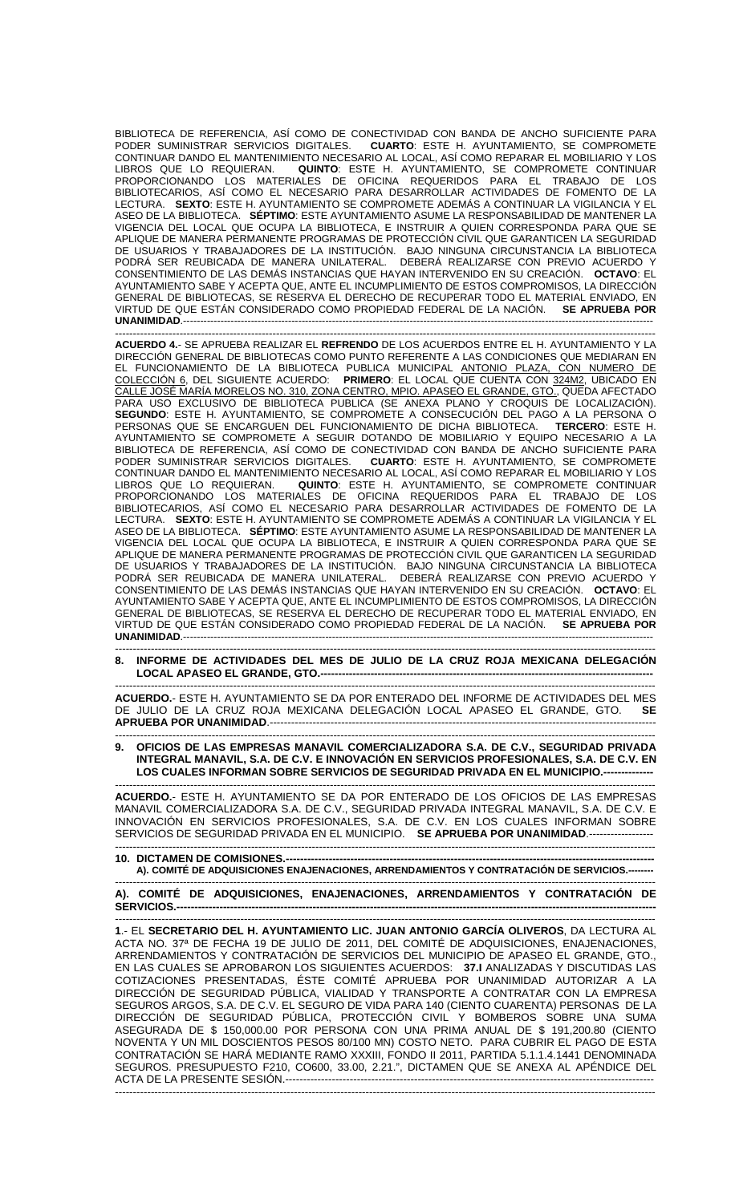BIBLIOTECA DE REFERENCIA, ASÍ COMO DE CONECTIVIDAD CON BANDA DE ANCHO SUFICIENTE PARA PODER SUMINISTRAR SERVICIOS DIGITALES. **CUARTO**: ESTE H. AYUNTAMIENTO, SE COMPROMETE CONTINUAR DANDO EL MANTENIMIENTO NECESARIO AL LOCAL, ASÍ COMO REPARAR EL MOBILIARIO Y LOS LIBROS QUE LO REQUIERAN. **QUINTO**: ESTE H. AYUNTAMIENTO, SE COMPROMETE CONTINUAR PROPORCIONANDO LOS MATERIALES DE OFICINA REQUERIDOS PARA EL TRABAJO DE LOS BIBLIOTECARIOS, ASÍ COMO EL NECESARIO PARA DESARROLLAR ACTIVIDADES DE FOMENTO DE LA LECTURA. **SEXTO**: ESTE H. AYUNTAMIENTO SE COMPROMETE ADEMÁS A CONTINUAR LA VIGILANCIA Y EL ASEO DE LA BIBLIOTECA. **SÉPTIMO**: ESTE AYUNTAMIENTO ASUME LA RESPONSABILIDAD DE MANTENER LA VIGENCIA DEL LOCAL QUE OCUPA LA BIBLIOTECA, E INSTRUIR A QUIEN CORRESPONDA PARA QUE SE APLIQUE DE MANERA PERMANENTE PROGRAMAS DE PROTECCIÓN CIVIL QUE GARANTICEN LA SEGURIDAD DE USUARIOS Y TRABAJADORES DE LA INSTITUCIÓN. BAJO NINGUNA CIRCUNSTANCIA LA BIBLIOTECA PODRÁ SER REUBICADA DE MANERA UNILATERAL. DEBERÁ REALIZARSE CON PREVIO ACUERDO Y CONSENTIMIENTO DE LAS DEMÁS INSTANCIAS QUE HAYAN INTERVENIDO EN SU CREACIÓN. **OCTAVO**: EL AYUNTAMIENTO SABE Y ACEPTA QUE, ANTE EL INCUMPLIMIENTO DE ESTOS COMPROMISOS, LA DIRECCIÓN GENERAL DE BIBLIOTECAS, SE RESERVA EL DERECHO DE RECUPERAR TODO EL MATERIAL ENVIADO, EN VIRTUD DE QUE ESTÁN CONSIDERADO COMO PROPIEDAD FEDERAL DE LA NACIÓN. **SE APRUEBA POR UNANIMIDAD**.------------------------------------------------------------------------------------------------------------------------------------------- -------------------------------------------------------------------------------------------------------------------------------------------------------

**ACUERDO 4.**- SE APRUEBA REALIZAR EL **REFRENDO** DE LOS ACUERDOS ENTRE EL H. AYUNTAMIENTO Y LA DIRECCIÓN GENERAL DE BIBLIOTECAS COMO PUNTO REFERENTE A LAS CONDICIONES QUE MEDIARAN EN EL FUNCIONAMIENTO DE LA BIBLIOTECA PUBLICA MUNICIPAL ANTONIO PLAZA, CON NUMERO DE COLECCIÓN 6, DEL SIGUIENTE ACUERDO: **PRIMERO**: EL LOCAL QUE CUENTA CON 324M2, UBICADO EN CALLE JOSÉ MARÍA MORELOS NO. 310, ZONA CENTRO, MPIO. APASEO EL GRANDE, GTO., QUEDA AFECTADO PARA USO EXCLUSIVO DE BIBLIOTECA PUBLICA (SE ANEXA PLANO Y CROQUIS DE LOCALIZACIÓN). **SEGUNDO**: ESTE H. AYUNTAMIENTO, SE COMPROMETE A CONSECUCIÓN DEL PAGO A LA PERSONA O PERSONAS QUE SE ENCARGUEN DEL FUNCIONAMIENTO DE DICHA BIBLIOTECA. **TERCERO**: ESTE H. AYUNTAMIENTO SE COMPROMETE A SEGUIR DOTANDO DE MOBILIARIO Y EQUIPO NECESARIO A LA BIBLIOTECA DE REFERENCIA, ASÍ COMO DE CONECTIVIDAD CON BANDA DE ANCHO SUFICIENTE PARA PODER SUMINISTRAR SERVICIOS DIGITALES. **CUARTO**: ESTE H. AYUNTAMIENTO, SE COMPROMETE CONTINUAR DANDO EL MANTENIMIENTO NECESARIO AL LOCAL, ASÍ COMO REPARAR EL MOBILIARIO Y LOS LIBROS QUE LO REQUIERAN. **QUINTO**: ESTE H. AYUNTAMIENTO, SE COMPROMETE CONTINUAR PROPORCIONANDO LOS MATERIALES DE OFICINA REQUERIDOS PARA EL TRABAJO DE LOS BIBLIOTECARIOS, ASÍ COMO EL NECESARIO PARA DESARROLLAR ACTIVIDADES DE FOMENTO DE LA LECTURA. **SEXTO**: ESTE H. AYUNTAMIENTO SE COMPROMETE ADEMÁS A CONTINUAR LA VIGILANCIA Y EL ASEO DE LA BIBLIOTECA. **SÉPTIMO**: ESTE AYUNTAMIENTO ASUME LA RESPONSABILIDAD DE MANTENER LA VIGENCIA DEL LOCAL QUE OCUPA LA BIBLIOTECA, E INSTRUIR A QUIEN CORRESPONDA PARA QUE SE APLIQUE DE MANERA PERMANENTE PROGRAMAS DE PROTECCIÓN CIVIL QUE GARANTICEN LA SEGURIDAD DE USUARIOS Y TRABAJADORES DE LA INSTITUCIÓN. BAJO NINGUNA CIRCUNSTANCIA LA BIBLIOTECA PODRÁ SER REUBICADA DE MANERA UNILATERAL. DEBERÁ REALIZARSE CON PREVIO ACUERDO Y CONSENTIMIENTO DE LAS DEMÁS INSTANCIAS QUE HAYAN INTERVENIDO EN SU CREACIÓN. **OCTAVO**: EL AYUNTAMIENTO SABE Y ACEPTA QUE, ANTE EL INCUMPLIMIENTO DE ESTOS COMPROMISOS, LA DIRECCIÓN GENERAL DE BIBLIOTECAS, SE RESERVA EL DERECHO DE RECUPERAR TODO EL MATERIAL ENVIADO, EN VIRTUD DE QUE ESTÁN CONSIDERADO COMO PROPIEDAD FEDERAL DE LA NACIÓN. **SE APRUEBA POR UNANIMIDAD**.------------------------------------------------------------------------------------------------------------------------------------------- -------------------------------------------------------------------------------------------------------------------------------------------------------

## **8. INFORME DE ACTIVIDADES DEL MES DE JULIO DE LA CRUZ ROJA MEXICANA DELEGACIÓN LOCAL APASEO EL GRANDE, GTO.---------------------------------------------------------------------------------------------**

------------------------------------------------------------------------------------------------------------------------------------------------------- **ACUERDO.**- ESTE H. AYUNTAMIENTO SE DA POR ENTERADO DEL INFORME DE ACTIVIDADES DEL MES DE JULIO DE LA CRUZ ROJA MEXICANA DELEGACIÓN LOCAL APASEO EL GRANDE, GTO. **SE APRUEBA POR UNANIMIDAD**.------------------------------------------------------------------------------------------------------------

------------------------------------------------------------------------------------------------------------------------------------------------------- **9. OFICIOS DE LAS EMPRESAS MANAVIL COMERCIALIZADORA S.A. DE C.V., SEGURIDAD PRIVADA INTEGRAL MANAVIL, S.A. DE C.V. E INNOVACIÓN EN SERVICIOS PROFESIONALES, S.A. DE C.V. EN LOS CUALES INFORMAN SOBRE SERVICIOS DE SEGURIDAD PRIVADA EN EL MUNICIPIO.--------------** 

------------------------------------------------------------------------------------------------------------------------------------------------------- **ACUERDO.**- ESTE H. AYUNTAMIENTO SE DA POR ENTERADO DE LOS OFICIOS DE LAS EMPRESAS MANAVIL COMERCIALIZADORA S.A. DE C.V., SEGURIDAD PRIVADA INTEGRAL MANAVIL, S.A. DE C.V. E INNOVACIÓN EN SERVICIOS PROFESIONALES, S.A. DE C.V. EN LOS CUALES INFORMAN SOBRE SERVICIOS DE SEGURIDAD PRIVADA EN EL MUNICIPIO. **SE APRUEBA POR UNANIMIDAD**.------------------ -------------------------------------------------------------------------------------------------------------------------------------------------------

| A). COMITÉ DE ADQUISICIONES ENAJENACIONES, ARRENDAMIENTOS Y CONTRATACIÓN DE SERVICIOS.-------- |
|------------------------------------------------------------------------------------------------|
|                                                                                                |

**A). COMITÉ DE ADQUISICIONES, ENAJENACIONES, ARRENDAMIENTOS Y CONTRATACIÓN DE SERVICIOS.------**

------------------------------------------------------------------------------------------------------------------------------------------------------- **1**.- EL **SECRETARIO DEL H. AYUNTAMIENTO LIC. JUAN ANTONIO GARCÍA OLIVEROS**, DA LECTURA AL ACTA NO. 37ª DE FECHA 19 DE JULIO DE 2011, DEL COMITÉ DE ADQUISICIONES, ENAJENACIONES, ARRENDAMIENTOS Y CONTRATACIÓN DE SERVICIOS DEL MUNICIPIO DE APASEO EL GRANDE, GTO., EN LAS CUALES SE APROBARON LOS SIGUIENTES ACUERDOS: **37.I** ANALIZADAS Y DISCUTIDAS LAS COTIZACIONES PRESENTADAS, ÉSTE COMITÉ APRUEBA POR UNANIMIDAD AUTORIZAR A LA DIRECCIÓN DE SEGURIDAD PÚBLICA, VIALIDAD Y TRANSPORTE A CONTRATAR CON LA EMPRESA SEGUROS ARGOS, S.A. DE C.V. EL SEGURO DE VIDA PARA 140 (CIENTO CUARENTA) PERSONAS DE LA DIRECCIÓN DE SEGURIDAD PÚBLICA, PROTECCIÓN CIVIL Y BOMBEROS SOBRE UNA SUMA ASEGURADA DE \$ 150,000.00 POR PERSONA CON UNA PRIMA ANUAL DE \$ 191,200.80 (CIENTO NOVENTA Y UN MIL DOSCIENTOS PESOS 80/100 MN) COSTO NETO. PARA CUBRIR EL PAGO DE ESTA CONTRATACIÓN SE HARÁ MEDIANTE RAMO XXXIII, FONDO II 2011, PARTIDA 5.1.1.4.1441 DENOMINADA SEGUROS. PRESUPUESTO F210, CO600, 33.00, 2.21.", DICTAMEN QUE SE ANEXA AL APÉNDICE DEL ACTA DE LA PRESENTE SESIÓN.---------------------------------------------------------------------------------------------------------------------------------------------------------------------